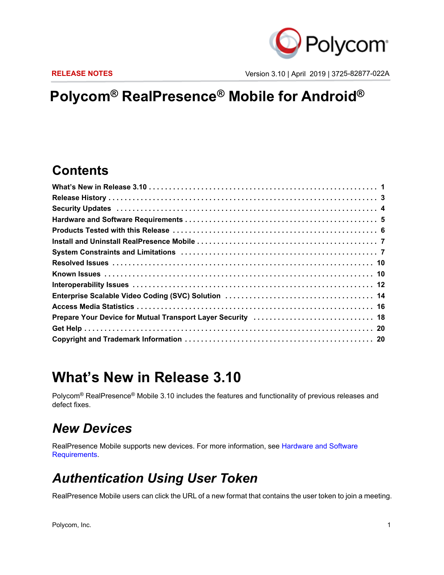

**RELEASE NOTES** Version 3.10 | April 2019 | 3725-82877-022A

# **Polycom® RealPresence® Mobile for Android®**

### **Contents**

### <span id="page-0-0"></span>**What's New in Release 3.10**

Polycom® RealPresence® Mobile 3.10 includes the features and functionality of previous releases and defect fixes.

### *New Devices*

RealPresence Mobile supports new devices. For more information, see [Hardware and Software](#page-2-0)  [Requirements](#page-2-0).

### *Authentication Using User Token*

RealPresence Mobile users can click the URL of a new format that contains the user token to join a meeting.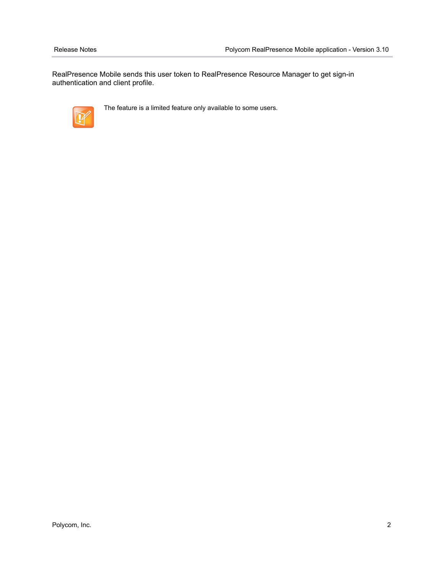RealPresence Mobile sends this user token to RealPresence Resource Manager to get sign-in authentication and client profile.



The feature is a limited feature only available to some users.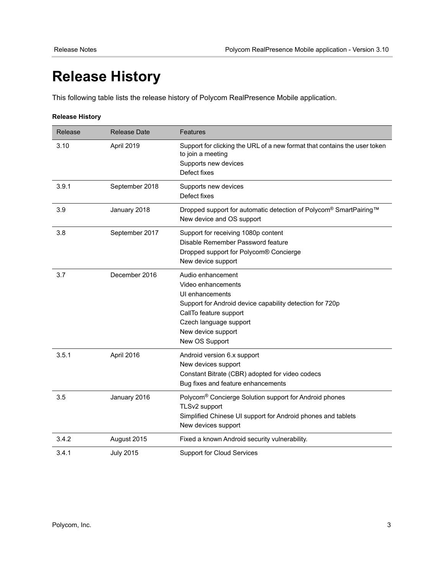# <span id="page-2-0"></span>**Release History**

This following table lists the release history of Polycom RealPresence Mobile application.

#### **Release History**

| Release | <b>Release Date</b> | Features                                                                                                                                                                                                           |
|---------|---------------------|--------------------------------------------------------------------------------------------------------------------------------------------------------------------------------------------------------------------|
| 3.10    | April 2019          | Support for clicking the URL of a new format that contains the user token<br>to join a meeting<br>Supports new devices<br>Defect fixes                                                                             |
| 3.9.1   | September 2018      | Supports new devices<br>Defect fixes                                                                                                                                                                               |
| 3.9     | January 2018        | Dropped support for automatic detection of Polycom® SmartPairing™<br>New device and OS support                                                                                                                     |
| 3.8     | September 2017      | Support for receiving 1080p content<br>Disable Remember Password feature<br>Dropped support for Polycom® Concierge<br>New device support                                                                           |
| 3.7     | December 2016       | Audio enhancement<br>Video enhancements<br>UI enhancements<br>Support for Android device capability detection for 720p<br>CallTo feature support<br>Czech language support<br>New device support<br>New OS Support |
| 3.5.1   | April 2016          | Android version 6.x support<br>New devices support<br>Constant Bitrate (CBR) adopted for video codecs<br>Bug fixes and feature enhancements                                                                        |
| 3.5     | January 2016        | Polycom <sup>®</sup> Concierge Solution support for Android phones<br>TLSv2 support<br>Simplified Chinese UI support for Android phones and tablets<br>New devices support                                         |
| 3.4.2   | August 2015         | Fixed a known Android security vulnerability.                                                                                                                                                                      |
| 3.4.1   | <b>July 2015</b>    | <b>Support for Cloud Services</b>                                                                                                                                                                                  |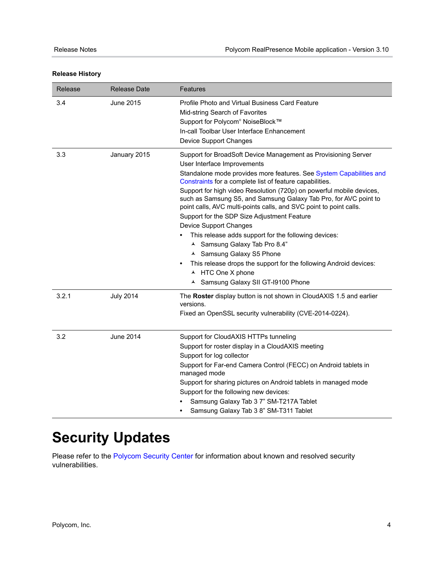| Release | <b>Release Date</b> | <b>Features</b>                                                                                                                                                                                                                                                                                                                                                                                                                                                                                                                                                                                                                                                                                                                                                                                 |
|---------|---------------------|-------------------------------------------------------------------------------------------------------------------------------------------------------------------------------------------------------------------------------------------------------------------------------------------------------------------------------------------------------------------------------------------------------------------------------------------------------------------------------------------------------------------------------------------------------------------------------------------------------------------------------------------------------------------------------------------------------------------------------------------------------------------------------------------------|
| 3.4     | June 2015           | Profile Photo and Virtual Business Card Feature<br>Mid-string Search of Favorites<br>Support for Polycom® NoiseBlock™<br>In-call Toolbar User Interface Enhancement<br><b>Device Support Changes</b>                                                                                                                                                                                                                                                                                                                                                                                                                                                                                                                                                                                            |
| 3.3     | January 2015        | Support for BroadSoft Device Management as Provisioning Server<br>User Interface Improvements<br>Standalone mode provides more features. See System Capabilities and<br>Constraints for a complete list of feature capabilities.<br>Support for high video Resolution (720p) on powerful mobile devices,<br>such as Samsung S5, and Samsung Galaxy Tab Pro, for AVC point to<br>point calls, AVC multi-points calls, and SVC point to point calls.<br>Support for the SDP Size Adjustment Feature<br>Device Support Changes<br>This release adds support for the following devices:<br>▲ Samsung Galaxy Tab Pro 8.4"<br>▲ Samsung Galaxy S5 Phone<br>This release drops the support for the following Android devices:<br>$\bullet$<br>▲ HTC One X phone<br>▲ Samsung Galaxy SII GT-I9100 Phone |
| 3.2.1   | <b>July 2014</b>    | The Roster display button is not shown in CloudAXIS 1.5 and earlier<br>versions.<br>Fixed an OpenSSL security vulnerability (CVE-2014-0224).                                                                                                                                                                                                                                                                                                                                                                                                                                                                                                                                                                                                                                                    |
| 3.2     | <b>June 2014</b>    | Support for CloudAXIS HTTPs tunneling<br>Support for roster display in a CloudAXIS meeting<br>Support for log collector<br>Support for Far-end Camera Control (FECC) on Android tablets in<br>managed mode<br>Support for sharing pictures on Android tablets in managed mode<br>Support for the following new devices:<br>Samsung Galaxy Tab 3 7" SM-T217A Tablet<br>Samsung Galaxy Tab 3 8" SM-T311 Tablet                                                                                                                                                                                                                                                                                                                                                                                    |

# <span id="page-3-0"></span>**Security Updates**

Please refer to the [Polycom Security Center](http://support.polycom.com/PolycomService/support/us/support/documentation/security_center.html) for information about known and resolved security vulnerabilities.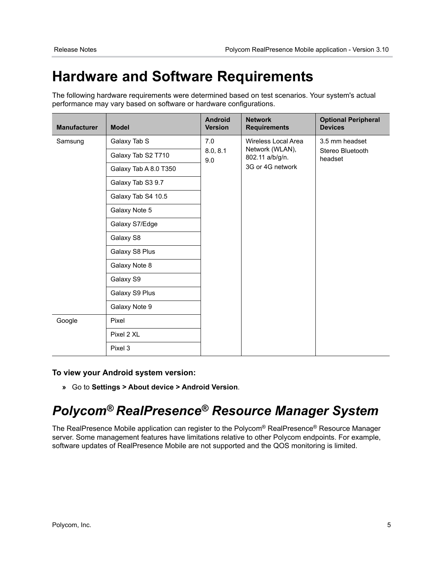## **Hardware and Software Requirements**

The following hardware requirements were determined based on test scenarios. Your system's actual performance may vary based on software or hardware configurations.

| <b>Manufacturer</b> | <b>Model</b>                              | <b>Android</b><br><b>Version</b> | <b>Network</b><br><b>Requirements</b>                                 | <b>Optional Peripheral</b><br><b>Devices</b>  |
|---------------------|-------------------------------------------|----------------------------------|-----------------------------------------------------------------------|-----------------------------------------------|
| Samsung             | Galaxy Tab S                              | 7.0                              | Wireless Local Area<br>Network (WLAN),<br>8.0, 8.1<br>802.11 a/b/g/n. | 3.5 mm headset<br>Stereo Bluetooth<br>headset |
|                     | Galaxy Tab S2 T710                        | 9.0                              |                                                                       |                                               |
|                     | 3G or 4G network<br>Galaxy Tab A 8.0 T350 |                                  |                                                                       |                                               |
|                     | Galaxy Tab S3 9.7                         |                                  |                                                                       |                                               |
|                     | Galaxy Tab S4 10.5                        |                                  |                                                                       |                                               |
|                     | Galaxy Note 5                             |                                  |                                                                       |                                               |
|                     | Galaxy S7/Edge                            |                                  |                                                                       |                                               |
|                     | Galaxy S8                                 |                                  |                                                                       |                                               |
|                     | Galaxy S8 Plus                            |                                  |                                                                       |                                               |
|                     | Galaxy Note 8                             |                                  |                                                                       |                                               |
|                     | Galaxy S9                                 |                                  |                                                                       |                                               |
|                     | Galaxy S9 Plus                            |                                  |                                                                       |                                               |
|                     | Galaxy Note 9                             |                                  |                                                                       |                                               |
| Google              | Pixel                                     |                                  |                                                                       |                                               |
|                     | Pixel 2 XL                                |                                  |                                                                       |                                               |
|                     | Pixel 3                                   |                                  |                                                                       |                                               |

### **To view your Android system version:**

**»** Go to **Settings > About device > Android Version**.

# *Polycom® RealPresence® Resource Manager System*

The RealPresence Mobile application can register to the Polycom® RealPresence® Resource Manager server. Some management features have limitations relative to other Polycom endpoints. For example, software updates of RealPresence Mobile are not supported and the QOS monitoring is limited.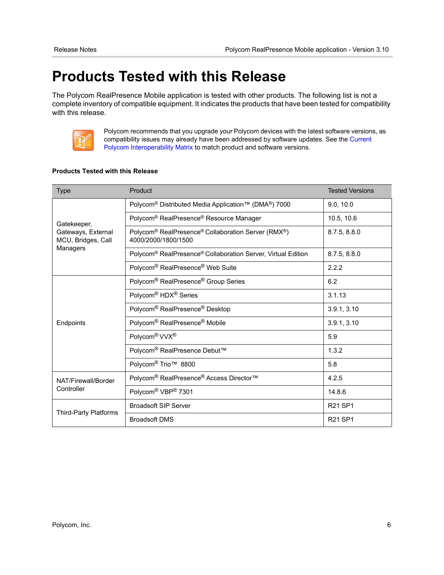## <span id="page-5-0"></span>**Products Tested with this Release**

The Polycom RealPresence Mobile application is tested with other products. The following list is not a complete inventory of compatible equipment. It indicates the products that have been tested for compatibility with this release.



Polycom recommends that you upgrade your Polycom devices with the latest software versions, as compatibility issues may already have been addressed by software updates. See the [Current](http://support.polycom.com/PolycomService/support/us/support/service_policies.html)  [Polycom Interoperability Matrix](http://support.polycom.com/PolycomService/support/us/support/service_policies.html) to match product and software versions.

#### **Products Tested with this Release**

| <b>Type</b>                                             | Product                                                                   | <b>Tested Versions</b>          |
|---------------------------------------------------------|---------------------------------------------------------------------------|---------------------------------|
| Gatekeeper,<br>Gateways, External<br>MCU, Bridges, Call | Polycom <sup>®</sup> Distributed Media Application™ (DMA®) 7000           | 9.0, 10.0                       |
|                                                         | Polycom <sup>®</sup> RealPresence <sup>®</sup> Resource Manager           | 10.5, 10.6                      |
|                                                         | Polycom® RealPresence® Collaboration Server (RMX®)<br>4000/2000/1800/1500 | 8.7.5, 8.8.0                    |
| Managers                                                | Polycom <sup>®</sup> RealPresence® Collaboration Server, Virtual Edition  | 8.7.5, 8.8.0                    |
|                                                         | Polycom <sup>®</sup> RealPresence <sup>®</sup> Web Suite                  | 2.2.2                           |
|                                                         | Polycom <sup>®</sup> RealPresence <sup>®</sup> Group Series               | 6.2                             |
|                                                         | Polycom <sup>®</sup> HDX <sup>®</sup> Series                              | 3.1.13                          |
|                                                         | Polycom <sup>®</sup> RealPresence <sup>®</sup> Desktop                    | 3.9.1, 3.10                     |
| Endpoints                                               | Polycom® RealPresence® Mobile                                             | 3.9.1, 3.10                     |
|                                                         | Polycom <sup>®</sup> VVX <sup>®</sup>                                     | 5.9                             |
|                                                         | Polycom <sup>®</sup> RealPresence Debut™                                  | 1.3.2                           |
|                                                         | Polycom <sup>®</sup> Trio <sup>™</sup> 8800                               | 5.8                             |
| NAT/Firewall/Border<br>Controller                       | Polycom <sup>®</sup> RealPresence <sup>®</sup> Access Director™           | 4.2.5                           |
|                                                         | Polycom <sup>®</sup> VBP <sup>®</sup> 7301                                | 14.8.6                          |
|                                                         | <b>Broadsoft SIP Server</b>                                               | R <sub>21</sub> SP <sub>1</sub> |
| Third-Party Platforms                                   | <b>Broadsoft DMS</b>                                                      | <b>R21 SP1</b>                  |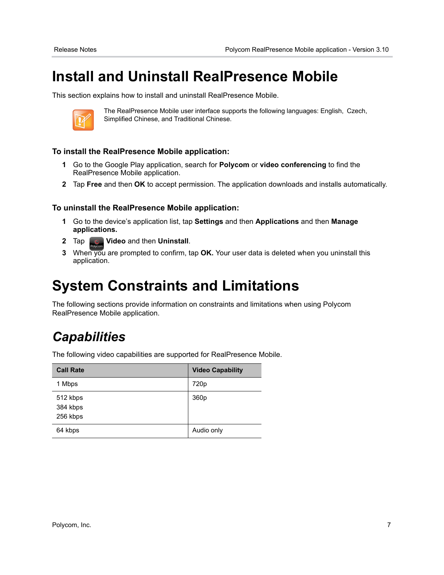# <span id="page-6-0"></span>**Install and Uninstall RealPresence Mobile**

This section explains how to install and uninstall RealPresence Mobile.



The RealPresence Mobile user interface supports the following languages: English, Czech, Simplified Chinese, and Traditional Chinese.

### **To install the RealPresence Mobile application:**

- **1** Go to the Google Play application, search for **Polycom** or **video conferencing** to find the RealPresence Mobile application.
- **2** Tap **Free** and then **OK** to accept permission. The application downloads and installs automatically.

### **To uninstall the RealPresence Mobile application:**

- **1** Go to the device's application list, tap **Settings** and then **Applications** and then **Manage applications.**
- **2** Tap **Video** and then **Uninstall**.
- **3** When you are prompted to confirm, tap **OK.** Your user data is deleted when you uninstall this application.

### <span id="page-6-1"></span>**System Constraints and Limitations**

The following sections provide information on constraints and limitations when using Polycom RealPresence Mobile application.

### *Capabilities*

The following video capabilities are supported for RealPresence Mobile.

| <b>Call Rate</b>                 | <b>Video Capability</b> |
|----------------------------------|-------------------------|
| 1 Mbps                           | 720 <sub>p</sub>        |
| 512 kbps<br>384 kbps<br>256 kbps | 360 <sub>p</sub>        |
| 64 kbps                          | Audio only              |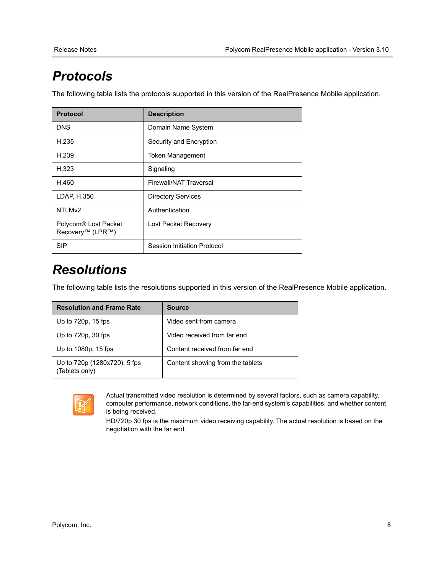## *Protocols*

The following table lists the protocols supported in this version of the RealPresence Mobile application.

| <b>Protocol</b>                                      | <b>Description</b>          |
|------------------------------------------------------|-----------------------------|
| <b>DNS</b>                                           | Domain Name System          |
| H.235                                                | Security and Encryption     |
| H.239                                                | <b>Token Management</b>     |
| H.323                                                | Signaling                   |
| H.460                                                | Firewall/NAT Traversal      |
| LDAP, H.350                                          | <b>Directory Services</b>   |
| NTLM <sub>v2</sub>                                   | Authentication              |
| Polycom <sup>®</sup> Lost Packet<br>Recovery™ (LPR™) | Lost Packet Recovery        |
| <b>SIP</b>                                           | Session Initiation Protocol |

### *Resolutions*

The following table lists the resolutions supported in this version of the RealPresence Mobile application.

| <b>Resolution and Frame Rate</b>               | <b>Source</b>                    |
|------------------------------------------------|----------------------------------|
| Up to 720p, 15 fps                             | Video sent from camera           |
| Up to $720p$ , $30$ fps                        | Video received from far end      |
| Up to 1080p, 15 fps                            | Content received from far end    |
| Up to 720p (1280x720), 5 fps<br>(Tablets only) | Content showing from the tablets |



Actual transmitted video resolution is determined by several factors, such as camera capability, computer performance, network conditions, the far-end system's capabilities, and whether content is being received.

HD/720p 30 fps is the maximum video receiving capability. The actual resolution is based on the negotiation with the far end.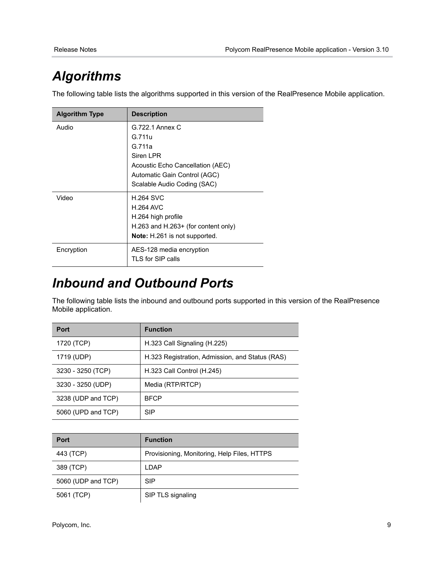## *Algorithms*

The following table lists the algorithms supported in this version of the RealPresence Mobile application.

| <b>Algorithm Type</b> | <b>Description</b>                   |
|-----------------------|--------------------------------------|
| Audio                 | G.722.1 Annex C                      |
|                       | G.711u                               |
|                       | G.711a                               |
|                       | Siren LPR                            |
|                       | Acoustic Echo Cancellation (AEC)     |
|                       | Automatic Gain Control (AGC)         |
|                       | Scalable Audio Coding (SAC)          |
| Video                 | <b>H.264 SVC</b>                     |
|                       | <b>H.264 AVC</b>                     |
|                       | H.264 high profile                   |
|                       | H.263 and H.263+ (for content only)  |
|                       | <b>Note:</b> H.261 is not supported. |
| Encryption            | AES-128 media encryption             |
|                       | TLS for SIP calls                    |

### *Inbound and Outbound Ports*

The following table lists the inbound and outbound ports supported in this version of the RealPresence Mobile application.

| Port               | <b>Function</b>                                 |
|--------------------|-------------------------------------------------|
| 1720 (TCP)         | H.323 Call Signaling (H.225)                    |
| 1719 (UDP)         | H.323 Registration, Admission, and Status (RAS) |
| 3230 - 3250 (TCP)  | H.323 Call Control (H.245)                      |
| 3230 - 3250 (UDP)  | Media (RTP/RTCP)                                |
| 3238 (UDP and TCP) | <b>BFCP</b>                                     |
| 5060 (UPD and TCP) | <b>SIP</b>                                      |

| <b>Port</b>        | <b>Function</b>                             |
|--------------------|---------------------------------------------|
| 443 (TCP)          | Provisioning, Monitoring, Help Files, HTTPS |
| 389 (TCP)          | LDAP                                        |
| 5060 (UDP and TCP) | <b>SIP</b>                                  |
| 5061 (TCP)         | SIP TLS signaling                           |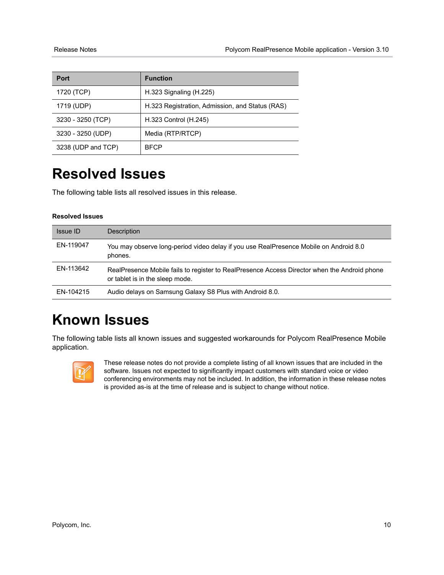| <b>Port</b>        | <b>Function</b>                                 |
|--------------------|-------------------------------------------------|
| 1720 (TCP)         | H.323 Signaling (H.225)                         |
| 1719 (UDP)         | H.323 Registration, Admission, and Status (RAS) |
| 3230 - 3250 (TCP)  | H.323 Control (H.245)                           |
| 3230 - 3250 (UDP)  | Media (RTP/RTCP)                                |
| 3238 (UDP and TCP) | <b>BFCP</b>                                     |

## <span id="page-9-0"></span>**Resolved Issues**

The following table lists all resolved issues in this release.

#### **Resolved Issues**

| <b>Issue ID</b> | Description                                                                                                                     |
|-----------------|---------------------------------------------------------------------------------------------------------------------------------|
| EN-119047       | You may observe long-period video delay if you use RealPresence Mobile on Android 8.0<br>phones.                                |
| EN-113642       | RealPresence Mobile fails to register to RealPresence Access Director when the Android phone<br>or tablet is in the sleep mode. |
| EN-104215       | Audio delays on Samsung Galaxy S8 Plus with Android 8.0.                                                                        |

## <span id="page-9-1"></span>**Known Issues**

The following table lists all known issues and suggested workarounds for Polycom RealPresence Mobile application.



These release notes do not provide a complete listing of all known issues that are included in the software. Issues not expected to significantly impact customers with standard voice or video conferencing environments may not be included. In addition, the information in these release notes is provided as-is at the time of release and is subject to change without notice.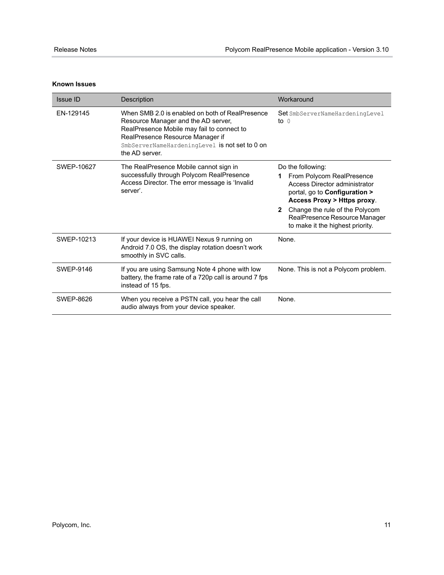#### **Known Issues**

| Issue ID   | Description                                                                                                                                                                                                                                  | Workaround                                                                                                                                                                                                                                                             |
|------------|----------------------------------------------------------------------------------------------------------------------------------------------------------------------------------------------------------------------------------------------|------------------------------------------------------------------------------------------------------------------------------------------------------------------------------------------------------------------------------------------------------------------------|
| EN-129145  | When SMB 2.0 is enabled on both of RealPresence<br>Resource Manager and the AD server,<br>RealPresence Mobile may fail to connect to<br>RealPresence Resource Manager if<br>SmbServerNameHardeningLevel is not set to 0 on<br>the AD server. | Set SmbServerNameHardeningLevel<br>to $\theta$                                                                                                                                                                                                                         |
| SWEP-10627 | The RealPresence Mobile cannot sign in<br>successfully through Polycom RealPresence<br>Access Director. The error message is 'Invalid<br>server'.                                                                                            | Do the following:<br>From Polycom RealPresence<br>Access Director administrator<br>portal, go to Configuration ><br>Access Proxy > Https proxy.<br>Change the rule of the Polycom<br>$\mathbf{2}$<br>RealPresence Resource Manager<br>to make it the highest priority. |
| SWEP-10213 | If your device is HUAWEI Nexus 9 running on<br>Android 7.0 OS, the display rotation doesn't work<br>smoothly in SVC calls.                                                                                                                   | None.                                                                                                                                                                                                                                                                  |
| SWEP-9146  | If you are using Samsung Note 4 phone with low<br>battery, the frame rate of a 720p call is around 7 fps<br>instead of 15 fps.                                                                                                               | None. This is not a Polycom problem.                                                                                                                                                                                                                                   |
| SWEP-8626  | When you receive a PSTN call, you hear the call<br>audio always from your device speaker.                                                                                                                                                    | None.                                                                                                                                                                                                                                                                  |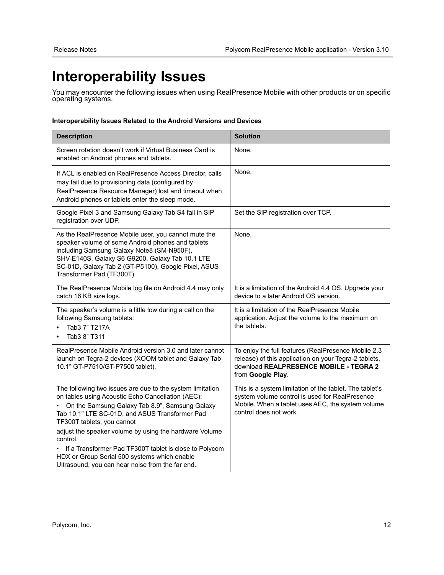# <span id="page-11-0"></span>**Interoperability Issues**

You may encounter the following issues when using RealPresence Mobile with other products or on specific operating systems.

#### **Interoperability Issues Related to the Android Versions and Devices**

| <b>Description</b>                                                                                                                                                                                                                                                                                                                                                                                                                                                                   | <b>Solution</b>                                                                                                                                                                          |
|--------------------------------------------------------------------------------------------------------------------------------------------------------------------------------------------------------------------------------------------------------------------------------------------------------------------------------------------------------------------------------------------------------------------------------------------------------------------------------------|------------------------------------------------------------------------------------------------------------------------------------------------------------------------------------------|
| Screen rotation doesn't work if Virtual Business Card is<br>enabled on Android phones and tablets.                                                                                                                                                                                                                                                                                                                                                                                   | None.                                                                                                                                                                                    |
| If ACL is enabled on RealPresence Access Director, calls<br>may fail due to provisioning data (configured by<br>RealPresence Resource Manager) lost and timeout when<br>Android phones or tablets enter the sleep mode.                                                                                                                                                                                                                                                              | None.                                                                                                                                                                                    |
| Google Pixel 3 and Samsung Galaxy Tab S4 fail in SIP<br>registration over UDP.                                                                                                                                                                                                                                                                                                                                                                                                       | Set the SIP registration over TCP.                                                                                                                                                       |
| As the RealPresence Mobile user, you cannot mute the<br>speaker volume of some Android phones and tablets<br>including Samsung Galaxy Note8 (SM-N950F),<br>SHV-E140S, Galaxy S6 G9200, Galaxy Tab 10.1 LTE<br>SC-01D, Galaxy Tab 2 (GT-P5100), Google Pixel, ASUS<br>Transformer Pad (TF300T).                                                                                                                                                                                       | None.                                                                                                                                                                                    |
| The RealPresence Mobile log file on Android 4.4 may only<br>catch 16 KB size logs.                                                                                                                                                                                                                                                                                                                                                                                                   | It is a limitation of the Android 4.4 OS. Upgrade your<br>device to a later Android OS version.                                                                                          |
| The speaker's volume is a little low during a call on the<br>following Samsung tablets:<br>Tab3 7" T217A<br>Tab3 8" T311                                                                                                                                                                                                                                                                                                                                                             | It is a limitation of the RealPresence Mobile<br>application. Adjust the volume to the maximum on<br>the tablets.                                                                        |
| RealPresence Mobile Android version 3.0 and later cannot<br>launch on Tegra-2 devices (XOOM tablet and Galaxy Tab<br>10.1" GT-P7510/GT-P7500 tablet).                                                                                                                                                                                                                                                                                                                                | To enjoy the full features (RealPresence Mobile 2.3<br>release) of this application on your Tegra-2 tablets,<br>download REALPRESENCE MOBILE - TEGRA 2<br>from Google Play.              |
| The following two issues are due to the system limitation<br>on tables using Acoustic Echo Cancellation (AEC):<br>On the Samsung Galaxy Tab 8.9", Samsung Galaxy<br>Tab 10.1" LTE SC-01D, and ASUS Transformer Pad<br>TF300T tablets, you cannot<br>adjust the speaker volume by using the hardware Volume<br>control.<br>If a Transformer Pad TF300T tablet is close to Polycom<br>HDX or Group Serial 500 systems which enable<br>Ultrasound, you can hear noise from the far end. | This is a system limitation of the tablet. The tablet's<br>system volume control is used for RealPresence<br>Mobile. When a tablet uses AEC, the system volume<br>control does not work. |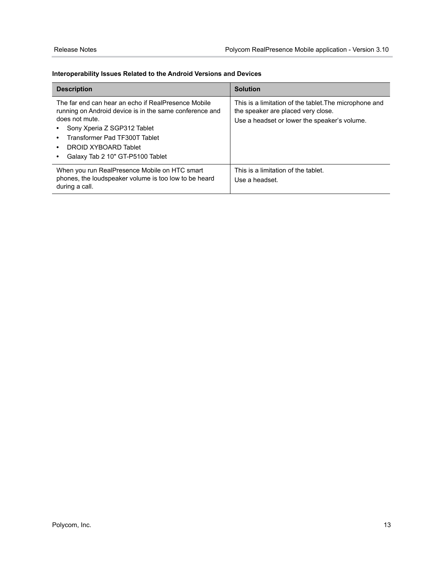#### **Interoperability Issues Related to the Android Versions and Devices**

| <b>Description</b>                                                                                                                                                                                                                                                                  | <b>Solution</b>                                                                                                                             |
|-------------------------------------------------------------------------------------------------------------------------------------------------------------------------------------------------------------------------------------------------------------------------------------|---------------------------------------------------------------------------------------------------------------------------------------------|
| The far end can hear an echo if RealPresence Mobile<br>running on Android device is in the same conference and<br>does not mute.<br>Sony Xperia Z SGP312 Tablet<br>Transformer Pad TF300T Tablet<br>$\bullet$<br>DROID XYBOARD Tablet<br>٠<br>Galaxy Tab 2 10" GT-P5100 Tablet<br>٠ | This is a limitation of the tablet.The microphone and<br>the speaker are placed very close.<br>Use a headset or lower the speaker's volume. |
| When you run RealPresence Mobile on HTC smart<br>phones, the loudspeaker volume is too low to be heard<br>during a call.                                                                                                                                                            | This is a limitation of the tablet.<br>Use a headset.                                                                                       |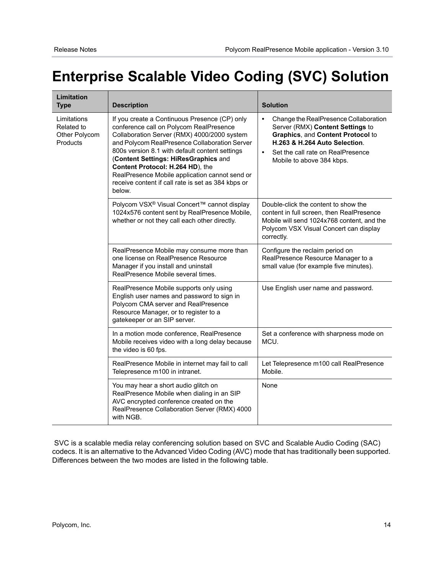# <span id="page-13-0"></span>**Enterprise Scalable Video Coding (SVC) Solution**

| Limitation<br><b>Type</b>                              | <b>Description</b>                                                                                                                                                                                                                                                                                                                                                                                                                       | <b>Solution</b>                                                                                                                                                                                                                             |
|--------------------------------------------------------|------------------------------------------------------------------------------------------------------------------------------------------------------------------------------------------------------------------------------------------------------------------------------------------------------------------------------------------------------------------------------------------------------------------------------------------|---------------------------------------------------------------------------------------------------------------------------------------------------------------------------------------------------------------------------------------------|
| Limitations<br>Related to<br>Other Polycom<br>Products | If you create a Continuous Presence (CP) only<br>conference call on Polycom RealPresence<br>Collaboration Server (RMX) 4000/2000 system<br>and Polycom RealPresence Collaboration Server<br>800s version 8.1 with default content settings<br>(Content Settings: HiResGraphics and<br>Content Protocol: H.264 HD), the<br>RealPresence Mobile application cannot send or<br>receive content if call rate is set as 384 kbps or<br>below. | Change the RealPresence Collaboration<br>$\bullet$<br>Server (RMX) Content Settings to<br>Graphics, and Content Protocol to<br>H.263 & H.264 Auto Selection.<br>Set the call rate on RealPresence<br>$\bullet$<br>Mobile to above 384 kbps. |
|                                                        | Polycom VSX <sup>®</sup> Visual Concert™ cannot display<br>1024x576 content sent by RealPresence Mobile,<br>whether or not they call each other directly.                                                                                                                                                                                                                                                                                | Double-click the content to show the<br>content in full screen, then RealPresence<br>Mobile will send 1024x768 content, and the<br>Polycom VSX Visual Concert can display<br>correctly.                                                     |
|                                                        | RealPresence Mobile may consume more than<br>one license on RealPresence Resource<br>Manager if you install and uninstall<br>RealPresence Mobile several times.                                                                                                                                                                                                                                                                          | Configure the reclaim period on<br>RealPresence Resource Manager to a<br>small value (for example five minutes).                                                                                                                            |
|                                                        | RealPresence Mobile supports only using<br>English user names and password to sign in<br>Polycom CMA server and RealPresence<br>Resource Manager, or to register to a<br>gatekeeper or an SIP server.                                                                                                                                                                                                                                    | Use English user name and password.                                                                                                                                                                                                         |
|                                                        | In a motion mode conference, RealPresence<br>Mobile receives video with a long delay because<br>the video is 60 fps.                                                                                                                                                                                                                                                                                                                     | Set a conference with sharpness mode on<br>MCU.                                                                                                                                                                                             |
|                                                        | RealPresence Mobile in internet may fail to call<br>Telepresence m100 in intranet.                                                                                                                                                                                                                                                                                                                                                       | Let Telepresence m100 call RealPresence<br>Mobile.                                                                                                                                                                                          |
|                                                        | You may hear a short audio glitch on<br>RealPresence Mobile when dialing in an SIP<br>AVC encrypted conference created on the<br>RealPresence Collaboration Server (RMX) 4000<br>with NGB.                                                                                                                                                                                                                                               | None                                                                                                                                                                                                                                        |

 SVC is a scalable media relay conferencing solution based on SVC and Scalable Audio Coding (SAC) codecs. It is an alternative to the Advanced Video Coding (AVC) mode that has traditionally been supported. Differences between the two modes are listed in the following table.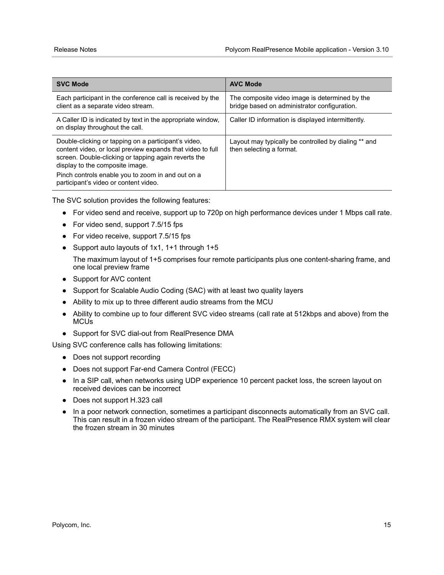| <b>SVC Mode</b>                                                                                                                                                                                                                                                                                             | <b>AVC Mode</b>                                                                                |
|-------------------------------------------------------------------------------------------------------------------------------------------------------------------------------------------------------------------------------------------------------------------------------------------------------------|------------------------------------------------------------------------------------------------|
| Each participant in the conference call is received by the<br>client as a separate video stream.                                                                                                                                                                                                            | The composite video image is determined by the<br>bridge based on administrator configuration. |
| A Caller ID is indicated by text in the appropriate window,<br>on display throughout the call.                                                                                                                                                                                                              | Caller ID information is displayed intermittently.                                             |
| Double-clicking or tapping on a participant's video,<br>content video, or local preview expands that video to full<br>screen. Double-clicking or tapping again reverts the<br>display to the composite image.<br>Pinch controls enable you to zoom in and out on a<br>participant's video or content video. | Layout may typically be controlled by dialing ** and<br>then selecting a format.               |

The SVC solution provides the following features:

- **●** For video send and receive, support up to 720p on high performance devices under 1 Mbps call rate.
- **●** For video send, support 7.5/15 fps
- **●** For video receive, support 7.5/15 fps
- **●** Support auto layouts of 1x1, 1+1 through 1+5

The maximum layout of 1+5 comprises four remote participants plus one content-sharing frame, and one local preview frame

- **●** Support for AVC content
- **●** Support for Scalable Audio Coding (SAC) with at least two quality layers
- **●** Ability to mix up to three different audio streams from the MCU
- **●** Ability to combine up to four different SVC video streams (call rate at 512kbps and above) from the MCUs
- **●** Support for SVC dial-out from RealPresence DMA

Using SVC conference calls has following limitations:

- **●** Does not support recording
- **●** Does not support Far-end Camera Control (FECC)
- **●** In a SIP call, when networks using UDP experience 10 percent packet loss, the screen layout on received devices can be incorrect
- **●** Does not support H.323 call
- **●** In a poor network connection, sometimes a participant disconnects automatically from an SVC call. This can result in a frozen video stream of the participant. The RealPresence RMX system will clear the frozen stream in 30 minutes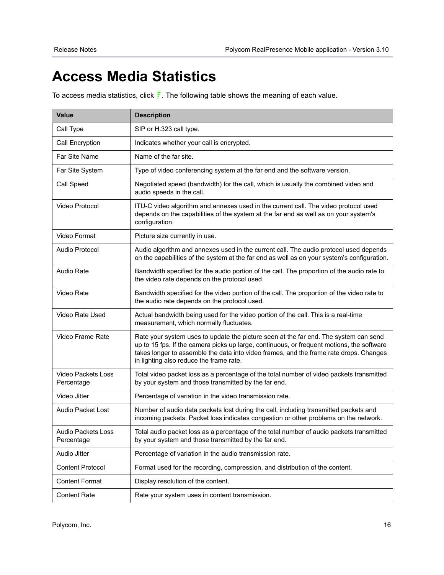# <span id="page-15-0"></span>**Access Media Statistics**

To access media statistics, click  $\frac{1}{r}$ . The following table shows the meaning of each value.

| <b>Value</b>                            | <b>Description</b>                                                                                                                                                                                                                                                                                                     |
|-----------------------------------------|------------------------------------------------------------------------------------------------------------------------------------------------------------------------------------------------------------------------------------------------------------------------------------------------------------------------|
| Call Type                               | SIP or H.323 call type.                                                                                                                                                                                                                                                                                                |
| Call Encryption                         | Indicates whether your call is encrypted.                                                                                                                                                                                                                                                                              |
| Far Site Name                           | Name of the far site.                                                                                                                                                                                                                                                                                                  |
| Far Site System                         | Type of video conferencing system at the far end and the software version.                                                                                                                                                                                                                                             |
| Call Speed                              | Negotiated speed (bandwidth) for the call, which is usually the combined video and<br>audio speeds in the call.                                                                                                                                                                                                        |
| Video Protocol                          | ITU-C video algorithm and annexes used in the current call. The video protocol used<br>depends on the capabilities of the system at the far end as well as on your system's<br>configuration.                                                                                                                          |
| Video Format                            | Picture size currently in use.                                                                                                                                                                                                                                                                                         |
| Audio Protocol                          | Audio algorithm and annexes used in the current call. The audio protocol used depends<br>on the capabilities of the system at the far end as well as on your system's configuration.                                                                                                                                   |
| <b>Audio Rate</b>                       | Bandwidth specified for the audio portion of the call. The proportion of the audio rate to<br>the video rate depends on the protocol used.                                                                                                                                                                             |
| Video Rate                              | Bandwidth specified for the video portion of the call. The proportion of the video rate to<br>the audio rate depends on the protocol used.                                                                                                                                                                             |
| Video Rate Used                         | Actual bandwidth being used for the video portion of the call. This is a real-time<br>measurement, which normally fluctuates.                                                                                                                                                                                          |
| Video Frame Rate                        | Rate your system uses to update the picture seen at the far end. The system can send<br>up to 15 fps. If the camera picks up large, continuous, or frequent motions, the software<br>takes longer to assemble the data into video frames, and the frame rate drops. Changes<br>in lighting also reduce the frame rate. |
| Video Packets Loss<br>Percentage        | Total video packet loss as a percentage of the total number of video packets transmitted<br>by your system and those transmitted by the far end.                                                                                                                                                                       |
| Video Jitter                            | Percentage of variation in the video transmission rate.                                                                                                                                                                                                                                                                |
| <b>Audio Packet Lost</b>                | Number of audio data packets lost during the call, including transmitted packets and<br>incoming packets. Packet loss indicates congestion or other problems on the network.                                                                                                                                           |
| <b>Audio Packets Loss</b><br>Percentage | Total audio packet loss as a percentage of the total number of audio packets transmitted<br>by your system and those transmitted by the far end.                                                                                                                                                                       |
| Audio Jitter                            | Percentage of variation in the audio transmission rate.                                                                                                                                                                                                                                                                |
| <b>Content Protocol</b>                 | Format used for the recording, compression, and distribution of the content.                                                                                                                                                                                                                                           |
| <b>Content Format</b>                   | Display resolution of the content.                                                                                                                                                                                                                                                                                     |
| <b>Content Rate</b>                     | Rate your system uses in content transmission.                                                                                                                                                                                                                                                                         |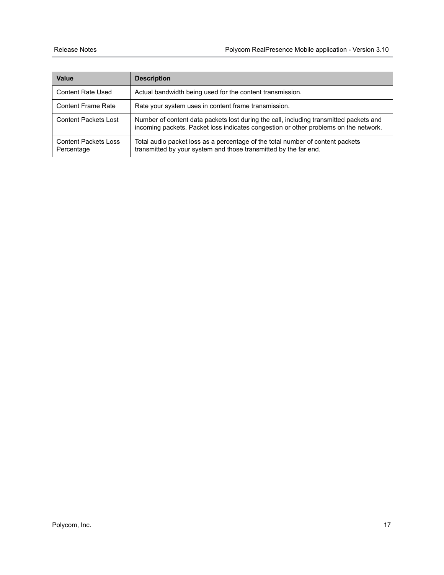| Value                                     | <b>Description</b>                                                                                                                                                             |
|-------------------------------------------|--------------------------------------------------------------------------------------------------------------------------------------------------------------------------------|
| <b>Content Rate Used</b>                  | Actual bandwidth being used for the content transmission.                                                                                                                      |
| <b>Content Frame Rate</b>                 | Rate your system uses in content frame transmission.                                                                                                                           |
| <b>Content Packets Lost</b>               | Number of content data packets lost during the call, including transmitted packets and<br>incoming packets. Packet loss indicates congestion or other problems on the network. |
| <b>Content Packets Loss</b><br>Percentage | Total audio packet loss as a percentage of the total number of content packets<br>transmitted by your system and those transmitted by the far end.                             |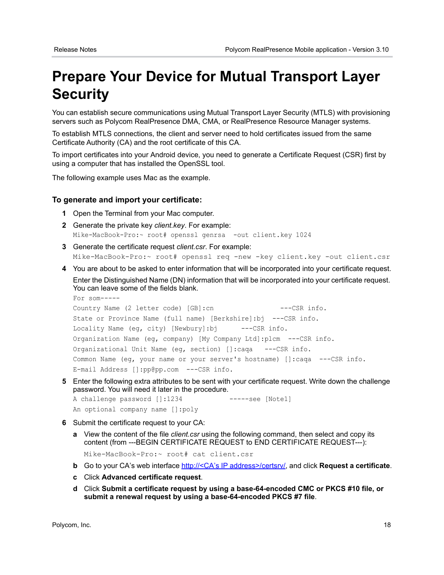# <span id="page-17-0"></span>**Prepare Your Device for Mutual Transport Layer Security**

You can establish secure communications using Mutual Transport Layer Security (MTLS) with provisioning servers such as Polycom RealPresence DMA, CMA, or RealPresence Resource Manager systems.

To establish MTLS connections, the client and server need to hold certificates issued from the same Certificate Authority (CA) and the root certificate of this CA.

To import certificates into your Android device, you need to generate a Certificate Request (CSR) first by using a computer that has installed the OpenSSL tool.

The following example uses Mac as the example.

#### **To generate and import your certificate:**

- **1** Open the Terminal from your Mac computer.
- **2** Generate the private key *client.key*. For example: Mike-MacBook-Pro:~ root# openssl genrsa -out client.key 1024
- **3** Generate the certificate request *client.csr*. For example: Mike-MacBook-Pro:~ root# openssl req -new -key client.key -out client.csr
- **4** You are about to be asked to enter information that will be incorporated into your certificate request.

Enter the Distinguished Name (DN) information that will be incorporated into your certificate request. You can leave some of the fields blank. For som-----

```
Country Name (2 letter code) [GB]:cn ---CSR info.
State or Province Name (full name) [Berkshire]:bj ---CSR info.
Locality Name (eg, city) [Newbury]:bj ---CSR info.
Organization Name (eg, company) [My Company Ltd]:plcm ---CSR info.
Organizational Unit Name (eg, section) []:caqa ---CSR info.
Common Name (eg, your name or your server's hostname) []:caqa ---CSR info.
E-mail Address []:pp@pp.com ---CSR info.
```
**5** Enter the following extra attributes to be sent with your certificate request. Write down the challenge password. You will need it later in the procedure.

A challenge password []:1234 -----see [Note1] An optional company name []:poly

- 
- **6** Submit the certificate request to your CA:
	- **a** View the content of the file *client.csr* using the following command, then select and copy its content (from ---BEGIN CERTIFICATE REQUEST to END CERTIFICATE REQUEST---):

Mike-MacBook-Pro:~ root# cat client.csr

- **b** Go to your CA's web interface http://<CA's IP address>/certsry/, and click **Request a certificate**.
- **c** Click **Advanced certificate request**.
- **d** Click **Submit a certificate request by using a base-64-encoded CMC or PKCS #10 file, or submit a renewal request by using a base-64-encoded PKCS #7 file**.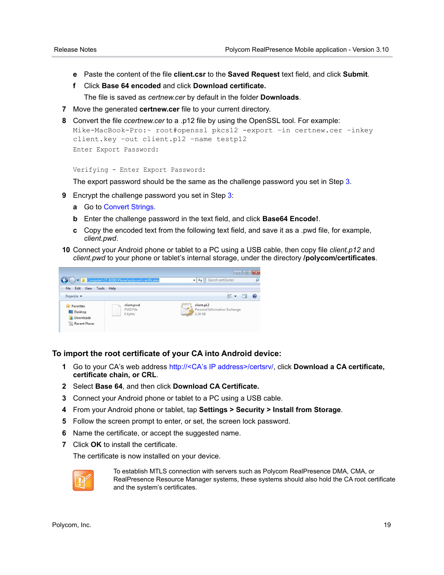- **e** Paste the content of the file **client.csr** to the **Saved Request** text field, and click **Submit**.
- **f** Click **Base 64 encoded** and click **Download certificate.**

The file is saved as *certnew.cer* by default in the folder **Downloads**.

- **7** Move the generated **certnew.cer** file to your current directory.
- **8** Convert the file *ccertnew.cer* to a .p12 file by using the OpenSSL tool. For example:

```
Mike-MacBook-Pro:~ root#openssl pkcs12 -export –in certnew.cer –inkey 
client.key –out client.p12 –name testp12
Enter Export Password:
```
Verifying - Enter Export Password:

The export password should be the same as the challenge password you set in Step 3.

- **9** Encrypt the challenge password you set in Step 3:
	- **a** Go to [Convert Strings.](http://www.convertstring.com/EncodeDecode/Base64Encode)
	- **b** Enter the challenge password in the text field, and click **Base64 Encode!**.
	- **c** Copy the encoded text from the following text field, and save it as a .pwd file, for example, *client.pwd*.
- **10** Connect your Android phone or tablet to a PC using a USB cable, then copy file *client.p12* and *client.pwd* to your phone or tablet's internal storage, under the directory **/polycom/certificates**.



#### **To import the root certificate of your CA into Android device:**

- **1** Go to your CA's web address http://<CA's IP address>/certsrv/, click **Download a CA certificate, certificate chain, or CRL**.
- **2** Select **Base 64**, and then click **Download CA Certificate.**
- **3** Connect your Android phone or tablet to a PC using a USB cable.
- **4** From your Android phone or tablet, tap **Settings > Security > Install from Storage**.
- **5** Follow the screen prompt to enter, or set, the screen lock password.
- **6** Name the certificate, or accept the suggested name.
- **7** Click **OK** to install the certificate.

The certificate is now installed on your device.



To establish MTLS connection with servers such as Polycom RealPresence DMA, CMA, or RealPresence Resource Manager systems, these systems should also hold the CA root certificate and the system's certificates.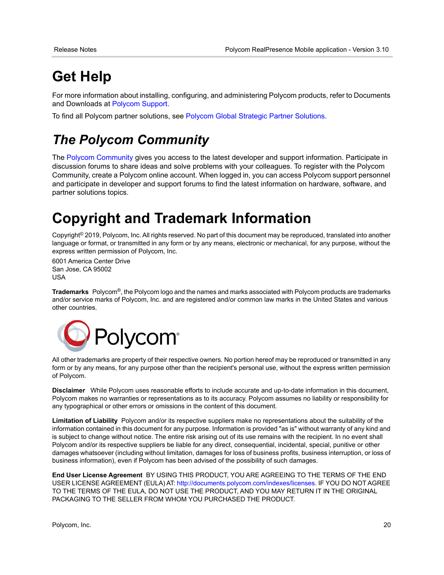# <span id="page-19-0"></span>**Get Help**

For more information about installing, configuring, and administering Polycom products, refer to Documents and Downloads at [Polycom Support.](http://support.polycom.com/PolycomService/home/home.htm)

To find all Polycom partner solutions, see [Polycom Global Strategic Partner Solutions](http://support.polycom.com/PolycomService/support/us/support/strategic_partner_solutions/index.html).

## *The Polycom Community*

The [Polycom Community](http://community.polycom.com/) gives you access to the latest developer and support information. Participate in discussion forums to share ideas and solve problems with your colleagues. To register with the Polycom Community, create a Polycom online account. When logged in, you can access Polycom support personnel and participate in developer and support forums to find the latest information on hardware, software, and partner solutions topics.

# <span id="page-19-1"></span>**Copyright and Trademark Information**

Copyright<sup>©</sup> 2019, Polycom, Inc. All rights reserved. No part of this document may be reproduced, translated into another language or format, or transmitted in any form or by any means, electronic or mechanical, for any purpose, without the express written permission of Polycom, Inc.

6001 America Center Drive San Jose, CA 95002 USA

**Trademarks** Polycom®, the Polycom logo and the names and marks associated with Polycom products are trademarks and/or service marks of Polycom, Inc. and are registered and/or common law marks in the United States and various other countries.



All other trademarks are property of their respective owners. No portion hereof may be reproduced or transmitted in any form or by any means, for any purpose other than the recipient's personal use, without the express written permission of Polycom.

**Disclaimer** While Polycom uses reasonable efforts to include accurate and up-to-date information in this document, Polycom makes no warranties or representations as to its accuracy. Polycom assumes no liability or responsibility for any typographical or other errors or omissions in the content of this document.

**Limitation of Liability** Polycom and/or its respective suppliers make no representations about the suitability of the information contained in this document for any purpose. Information is provided "as is" without warranty of any kind and is subject to change without notice. The entire risk arising out of its use remains with the recipient. In no event shall Polycom and/or its respective suppliers be liable for any direct, consequential, incidental, special, punitive or other damages whatsoever (including without limitation, damages for loss of business profits, business interruption, or loss of business information), even if Polycom has been advised of the possibility of such damages.

**End User License Agreement** BY USING THIS PRODUCT, YOU ARE AGREEING TO THE TERMS OF THE END USER LICENSE AGREEMENT (EULA) AT:<http://documents.polycom.com/indexes/licenses>. IF YOU DO NOT AGREE TO THE TERMS OF THE EULA, DO NOT USE THE PRODUCT, AND YOU MAY RETURN IT IN THE ORIGINAL PACKAGING TO THE SELLER FROM WHOM YOU PURCHASED THE PRODUCT.